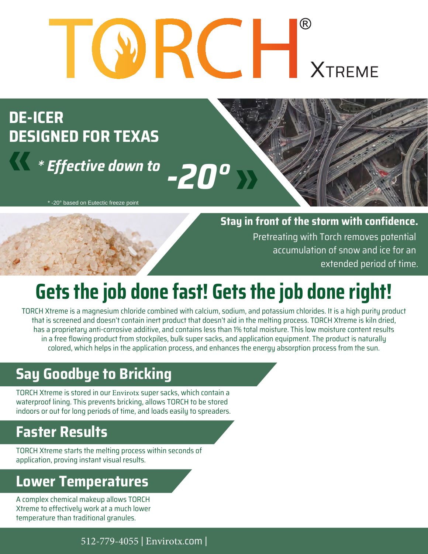# $\left( \mathsf{R}\right)$ **XTREME**

**DESIGNED FOR TEXAS DE-ICER**

**A** *\* Effective down to*  $-20°$ 

\* -20° based on Eutectic freeze point

Pretreating with Torch removes potential **Stay in front of the storm with confidence.**

> accumulation of snow and ice for an extended period of time.

# **Gets the job done fast! Gets the job done right!**

TORCH Xtreme is a magnesium chloride combined with calcium, sodium, and potassium chlorides. It is a high purity product that is screened and doesn't contain inert product that doesn't aid in the melting process. TORCH Xtreme is kiln dried, has a proprietary anti-corrosive additive, and contains less than 1% total moisture. This low moisture content results in a free flowing product from stockpiles, bulk super sacks, and application equipment. The product is naturally colored, which helps in the application process, and enhances the energy absorption process from the sun.

## **Say Goodbye to Bricking**

TORCH Xtreme is stored in our Envirotx super sacks, which contain a waterproof lining. This prevents bricking, allows TORCH to be stored indoors or out for long periods of time, and loads easily to spreaders.

### **Faster Results**

TORCH Xtreme starts the melting process within seconds of application, proving instant visual results.

### **Lower Temperatures**

A complex chemical makeup allows TORCH Xtreme to effectively work at a much lower temperature than traditional granules.